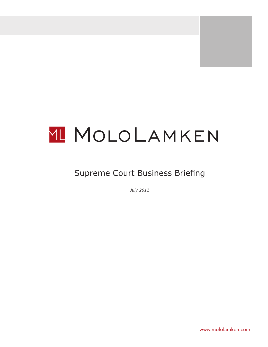

# **ML MOLOLAMKEN**

## Supreme Court Business Briefing

*July 2012*

www.mololamken.com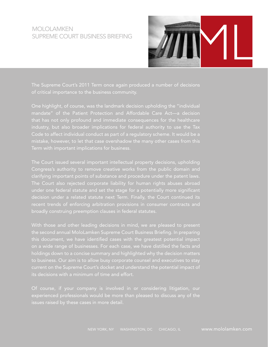#### MOLOLAMKEN SUPREME COURT BUSINESS BRIEFING



The Supreme Court's 2011 Term once again produced a number of decisions of critical importance to the business community.

One highlight, of course, was the landmark decision upholding the "individual mandate" of the Patient Protection and Affordable Care Act—a decision that has not only profound and immediate consequences for the healthcare industry, but also broader implications for federal authority to use the Tax Code to affect individual conduct as part of a regulatory scheme. It would be a mistake, however, to let that case overshadow the many other cases from this Term with important implications for business.

The Court issued several important intellectual property decisions, upholding Congress's authority to remove creative works from the public domain and clarifying important points of substance and procedure under the patent laws. The Court also rejected corporate liability for human rights abuses abroad under one federal statute and set the stage for a potentially more significant decision under a related statute next Term. Finally, the Court continued its recent trends of enforcing arbitration provisions in consumer contracts and broadly construing preemption clauses in federal statutes.

With those and other leading decisions in mind, we are pleased to present the second annual MoloLamken Supreme Court Business Briefing. In preparing this document, we have identified cases with the greatest potential impact on a wide range of businesses. For each case, we have distilled the facts and holdings down to a concise summary and highlighted why the decision matters current on the Supreme Court's docket and understand the potential impact of its decisions with a minimum of time and effort.

Of course, if your company is involved in or considering litigation, our experienced professionals would be more than pleased to discuss any of the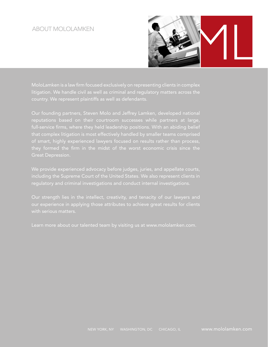#### ABOUT MOLOLAMKEN



MoloLamken is a law firm focused exclusively on representing clients in complex litigation. We handle civil as well as criminal and regulatory matters across the country. We represent plaintiffs as well as defendants.

Our founding partners, Steven Molo and Jeffrey Lamken, developed national reputations based on their courtroom successes while partners at large, full-service firms, where they held leadership positions. With an abiding belief that complex litigation is most effectively handled by smaller teams comprised of smart, highly experienced lawyers focused on results rather than process, they formed the firm in the midst of the worst economic crisis since the Great Depression.

We provide experienced advocacy before judges, juries, and appellate courts, including the Supreme Court of the United States. We also represent clients in regulatory and criminal investigations and conduct internal investigations.

Our strength lies in the intellect, creativity, and tenacity of our lawyers and our experience in applying those attributes to achieve great results for clients with serious matters.

Learn more about our talented team by visiting us at www.mololamken.com.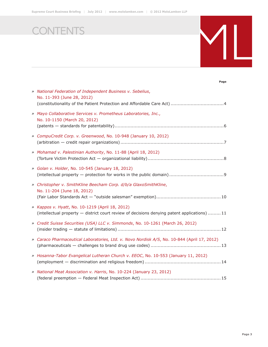**CONTENTS** 



| » National Federation of Independent Business v. Sebelius,<br>No. 11-393 (June 28, 2012)                                                       |
|------------------------------------------------------------------------------------------------------------------------------------------------|
| » Mayo Collaborative Services v. Prometheus Laboratories, Inc.,<br>No. 10-1150 (March 20, 2012)                                                |
| » CompuCredit Corp. v. Greenwood, No. 10-948 (January 10, 2012)                                                                                |
| » Mohamad v. Palestinian Authority, No. 11-88 (April 18, 2012)                                                                                 |
| » Golan v. Holder, No. 10-545 (January 18, 2012)                                                                                               |
| » Christopher v. SmithKline Beecham Corp. d/b/a GlaxoSmithKline,<br>No. 11-204 (June 18, 2012)                                                 |
| » Kappos v. Hyatt, No. 10-1219 (April 18, 2012)<br>(intellectual property - district court review of decisions denying patent applications) 11 |
| » Credit Suisse Securities (USA) LLC v. Simmonds, No. 10-1261 (March 26, 2012)                                                                 |
| » Caraco Pharmaceutical Laboratories, Ltd. v. Novo Nordisk A/S, No. 10-844 (April 17, 2012)                                                    |
| » Hosanna-Tabor Evangelical Lutheran Church v. EEOC, No. 10-553 (January 11, 2012)                                                             |
| » National Meat Association v. Harris, No. 10-224 (January 23, 2012)                                                                           |

**.................................................................................................................................................................................... Page**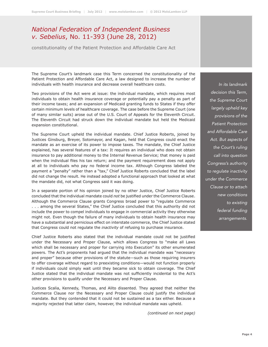#### *National Federation of Independent Business v. Sebelius*, No. 11-393 (June 28, 2012)

constitutionality of the Patient Protection and Affordable Care Act

The Supreme Court's landmark case this Term concerned the constitutionality of the Patient Protection and Affordable Care Act, a law designed to increase the number of individuals with health insurance and decrease overall healthcare costs.

Two provisions of the Act were at issue: the individual mandate, which requires most individuals to obtain health insurance coverage or potentially pay a penalty as part of their income taxes; and an expansion of Medicaid granting funds to States if they offer certain minimum levels of healthcare coverage. The case before the Supreme Court (one of many similar suits) arose out of the U.S. Court of Appeals for the Eleventh Circuit. The Eleventh Circuit had struck down the individual mandate but held the Medicaid expansion constitutional.

The Supreme Court upheld the individual mandate. Chief Justice Roberts, joined by Justices Ginsburg, Breyer, Sotomayor, and Kagan, held that Congress could enact the mandate as an exercise of its power to impose taxes. The mandate, the Chief Justice explained, has several features of a tax: It requires an individual who does not obtain insurance to pay additional money to the Internal Revenue Service; that money is paid when the individual files his tax return; and the payment requirement does not apply at all to individuals who pay no federal income tax. Although Congress labeled the payment a "penalty" rather than a "tax," Chief Justice Roberts concluded that the label did not change the result. He instead adopted a functional approach that looked at what the mandate did, not what Congress said it was doing.

In a separate portion of his opinion joined by no other Justice, Chief Justice Roberts concluded that the individual mandate could *not* be justified under the Commerce Clause. Although the Commerce Clause grants Congress broad power to "regulate Commerce . . . among the several States," the Chief Justice concluded that this authority did not include the power to compel individuals to engage in commercial activity they otherwise might not. Even though the failure of many individuals to obtain health insurance may have a substantial and pernicious effect on interstate commerce, the Chief Justice stated that Congress could not regulate the *inactivity* of refusing to purchase insurance.

Chief Justice Roberts also stated that the individual mandate could not be justified under the Necessary and Proper Clause, which allows Congress to "make all Laws which shall be necessary and proper for carrying into Execution" its other enumerated powers. The Act's proponents had argued that the individual mandate was "necessary and proper" because other provisions of the statute—such as those requiring insurers to offer coverage without regard to preexisting conditions—would not function properly if individuals could simply wait until they became sick to obtain coverage. The Chief Justice stated that the individual mandate was not sufficiently incidental to the Act's other provisions to qualify under the Necessary and Proper Clause.

Justices Scalia, Kennedy, Thomas, and Alito dissented. They agreed that neither the Commerce Clause nor the Necessary and Proper Clause could justify the individual mandate. But they contended that it could not be sustained as a tax either. Because a majority rejected that latter claim, however, the individual mandate was upheld.

*(continued on next page)*

*In its landmark decision this Term, the Supreme Court largely upheld key provisions of the Patient Protection and Affordable Care Act. But aspects of the Court's ruling call into question Congress's authority to regulate inactivity under the Commerce Clause or to attach new conditions to existing federal funding arrangements.*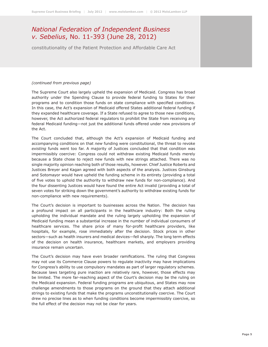#### *National Federation of Independent Business v. Sebelius*, No. 11-393 (June 28, 2012)

constitutionality of the Patient Protection and Affordable Care Act

#### *(continued from previous page)*

The Supreme Court also largely upheld the expansion of Medicaid. Congress has broad authority under the Spending Clause to provide federal funding to States for their programs and to condition those funds on state compliance with specified conditions. In this case, the Act's expansion of Medicaid offered States additional federal funding if they expanded healthcare coverage. If a State refused to agree to those new conditions, however, the Act authorized federal regulators to prohibit the State from receiving any federal Medicaid funding—not just the additional funds offered under new provisions of the Act.

The Court concluded that, although the Act's expansion of Medicaid funding and accompanying conditions on that *new* funding were constitutional, the threat to revoke *existing* funds went too far. A majority of Justices concluded that that condition was impermissibly coercive: Congress could not withdraw existing Medicaid funds merely because a State chose to reject new funds with new strings attached. There was no single majority opinion reaching both of those results, however. Chief Justice Roberts and Justices Breyer and Kagan agreed with both aspects of the analysis. Justices Ginsburg and Sotomayor would have upheld the funding scheme in its entirety (providing a total of five votes to uphold the authority to withdraw new funds for non-compliance). And the four dissenting Justices would have found the entire Act invalid (providing a total of seven votes for striking down the government's authority to withdraw existing funds for non-compliance with new requirements).

The Court's decision is important to businesses across the Nation. The decision has a profound impact on all participants in the healthcare industry: Both the ruling upholding the individual mandate and the ruling largely upholding the expansion of Medicaid funding mean a substantial increase in the number of individual consumers of healthcare services. The share price of many for-profit healthcare providers, like hospitals, for example, rose immediately after the decision. Stock prices in other sectors—such as health insurers and medical devices—fell sharply. The long term effects of the decision on health insurance, healthcare markets, and employers providing insurance remain uncertain.

The Court's decision may have even broader ramifications. The ruling that Congress may not use its Commerce Clause powers to regulate inactivity may have implications for Congress's ability to use compulsory mandates as part of larger regulatory schemes. Because laws targeting pure inaction are relatively rare, however, those effects may be limited. The more far-reaching aspect of the Court's decision may be the ruling on the Medicaid expansion. Federal funding programs are ubiquitous, and States may now challenge amendments to those programs on the ground that they attach additional strings to existing funds that make the programs unconstitutionally coercive. The Court drew no precise lines as to when funding conditions become impermissibly coercive, so the full effect of the decision may not be clear for years.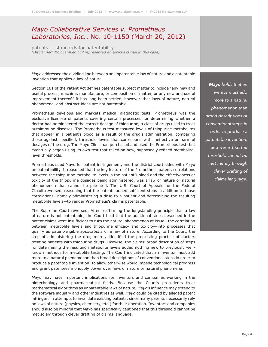#### *Mayo Collaborative Services v. Prometheus Laboratories, Inc.*, No. 10-1150 (March 20, 2012)

patents — standards for patentability *(Disclaimer: MoloLamken LLP represented an* amicus curiae *in this case)*

*Mayo* addressed the dividing line between an unpatentable law of nature and a patentable invention that applies a law of nature.

Section 101 of the Patent Act defines patentable subject matter to include "any new and useful process, machine, manufacture, or composition of matter, or any new and useful improvement thereof." It has long been settled, however, that laws of nature, natural phenomena, and abstract ideas are not patentable.

Prometheus develops and markets medical diagnostic tests. Prometheus was the exclusive licensee of patents covering certain processes for determining whether a doctor had administered the correct dosage of thiopurine, a class of drugs used to treat autoimmune diseases. The Prometheus test measured levels of thiopurine metabolites that appear in a patient's blood as a result of the drug's administration, comparing those against specified, threshold levels that correspond with ineffective or harmful dosages of the drug. The Mayo Clinic had purchased and used the Prometheus test, but eventually began using its own test that relied on new, supposedly refined metabolitelevel thresholds.

Prometheus sued Mayo for patent infringement, and the district court sided with Mayo on patentability. It reasoned that the key feature of the Prometheus patent, correlations between the thiopurine metabolite levels in the patient's blood and the effectiveness or toxicity of the thiopurine dosages being administered, was a law of nature or natural phenomenon that cannot be patented. The U.S. Court of Appeals for the Federal Circuit reversed, reasoning that the patents added sufficient steps in addition to those correlations—namely administering a drug to a patient and determining the resulting metabolite levels—to render Prometheus's claims patentable.

The Supreme Court reversed. After reaffirming the longstanding principle that a law of nature is not patentable, the Court held that the additional steps described in the patent claims were insufficient to turn the natural phenomenon at issue—the correlation between metabolite levels and thiopurine efficacy and toxicity—into processes that qualify as patent-eligible *applications* of a law of nature. According to the Court, the step of administering the drug merely identified the preexisting practice of doctors treating patients with thiopurine drugs. Likewise, the claims' broad description of steps for determining the resulting metabolite levels added nothing new to previously wellknown methods for metabolite testing. The Court indicated that an inventor must add more to a natural phenomenon than broad descriptions of conventional steps in order to produce a patentable invention; to allow otherwise would impede technological progress and grant patentees monopoly power over laws of nature or natural phenomena.

*Mayo* may have important implications for inventors and companies working in the biotechnology and pharmaceutical fields. Because the Court's precedents treat mathematical algorithms as unpatentable laws of nature, *Mayo*'s influence may extend to the software industry and other industries as well. *Mayo* could be cited by alleged patent infringers in attempts to invalidate existing patents, since many patents necessarily rely on laws of nature (physics, chemistry, etc.) for their operation. Inventors and companies should also be mindful that *Mayo* has specifically cautioned that this threshold cannot be met solely through clever drafting of claims language.

*Mayo holds that an inventor must add more to a natural phenomenon than broad descriptions of conventional steps in order to produce a patentable invention, and warns that the threshold cannot be met merely through clever drafting of claims language.*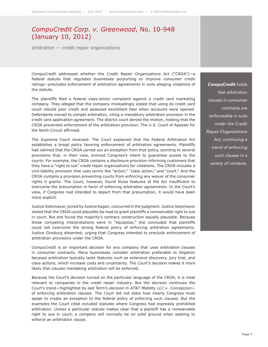#### *CompuCredit Corp. v. Greenwood*, No. 10-948 (January 10, 2012)

arbitration — credit repair organizations

*CompuCredit* addressed whether the Credit Repair Organizations Act ("CROA")—a federal statute that regulates businesses purporting to improve consumer credit ratings—precludes enforcement of arbitration agreements in suits alleging violations of the statute.

The plaintiffs filed a federal class-action complaint against a credit card marketing company. They alleged that the company misleadingly stated that using its credit card could rebuild poor credit and assessed exorbitant fees when accounts were opened. Defendants moved to compel arbitration, citing a mandatory arbitration provision in the credit card application agreement. The district court denied the motion, holding that the CROA prevented enforcement of the arbitration provision. The U.S. Court of Appeals for the Ninth Circuit affirmed.

The Supreme Court reversed. The Court explained that the Federal Arbitration Act establishes a broad policy favoring enforcement of arbitration agreements. Plaintiffs had claimed that the CROA carved out an exception from that policy, pointing to several provisions that, in their view, evinced Congress's intent to guarantee access to the courts. For example, the CROA contains a disclosure provision informing customers that they have a "right to sue" credit repair organizations for violations. The CROA includes a civil-liability provision that uses terms like "action," "class action," and "court." And the CROA contains a provision preventing courts from enforcing any waiver of the consumer rights it grants. The Court, however, found those features of the Act insufficient to overcome the presumption in favor of enforcing arbitration agreements. In the Court's view, if Congress had intended to depart from that presumption, it would have been more explicit.

Justice Sotomayor, joined by Justice Kagan, concurred in the judgment. Justice Sotomayor stated that the CROA could plausibly be read to grant plaintiffs a nonwaivable right to sue in court. But she found the majority's contrary construction equally plausible. Because those competing interpretations were in "equipoise," she concluded that plaintiffs could not overcome the strong federal policy of enforcing arbitration agreements. Justice Ginsburg dissented, urging that Congress intended to preclude enforcement of arbitration provisions under the CROA.

*CompuCredit* is an important decision for any company that uses arbitration clauses in consumer contracts. Many businesses consider arbitration preferable to litigation because arbitration typically lacks features such as extensive discovery, jury trial, and class actions, which increase costs and uncertainty. The Court's decision makes it more likely that clauses mandating arbitration will be enforced.

Because the Court's decision turned on the particular language of the CROA, it is most relevant to companies in the credit repair industry. But the decision continues the Court's trend—highlighted by last Term's decision in *AT&T Mobility LLC v. Concepcion* of enforcing arbitration clauses. The Court did not state how clearly Congress must speak to create an exception to the federal policy of enforcing such clauses. But the examples the Court cited included statutes where Congress had expressly prohibited arbitration. Unless a particular statute makes clear that a plaintiff has a nonwaivable right to sue in court, a company will normally be on solid ground when seeking to enforce an arbitration clause.

*CompuCredit holds that arbitration clauses in consumer contracts are enforceable in suits under the Credit Repair Organizations Act, continuing a trend of enforcing such clauses in a variety of contexts.*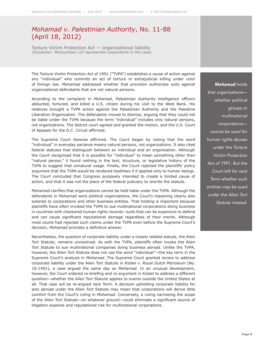#### *Mohamad v. Palestinian Authority*, No. 11-88 (April 18, 2012)

Torture Victim Protection Act — organizational liability *(Disclaimer: MoloLamken LLP represented respondents in this case)*

The Torture Victim Protection Act of 1991 ("TVPA") establishes a cause of action against any "individual" who commits an act of torture or extrajudicial killing under color of foreign law. *Mohamad* addressed whether that provision authorizes suits against organizational defendants that are not natural persons.

According to the complaint in *Mohamad*, Palestinian Authority intelligence officers abducted, tortured, and killed a U.S. citizen during his visit to the West Bank. His relatives brought a TVPA action against the Palestinian Authority and the Palestine Liberation Organization. The defendants moved to dismiss, arguing that they could not be liable under the TVPA because the term "individual" includes only natural persons, not organizations. The district court agreed and granted the motion, and the U.S. Court of Appeals for the D.C. Circuit affirmed.

The Supreme Court likewise affirmed. The Court began by noting that the word "individual" in everyday parlance means natural persons, not organizations. It also cited federal statutes that distinguish between an individual and an organization. Although the Court recognized that it is possible for "individual" to mean something other than "natural person," it found nothing in the text, structure, or legislative history of the TVPA to suggest that unnatural usage. Finally, the Court rejected the plaintiffs' policy argument that the TVPA would be rendered toothless if it applied only to human beings. The Court concluded that Congress purposely intended to create a limited cause of action, and that it was not the place of the federal judiciary to rewrite the statute.

*Mohamad* clarifies that organizations cannot be held liable under the TVPA. Although the defendants in *Mohamad* were political organizations, the Court's reasoning clearly also extends to corporations and other business entities. That holding is important because plaintiffs have often invoked the TVPA to sue multinational corporations doing business in countries with checkered human rights records—suits that can be expensive to defend and can cause significant reputational damage regardless of their merits. Although most courts had rejected such claims under the TVPA even before the Supreme Court's decision, *Mohamad* provides a definitive answer.

Nevertheless, the question of corporate liability under a closely related statute, the Alien Tort Statute, remains unresolved. As with the TVPA, plaintiffs often invoke the Alien Tort Statute to sue multinational companies doing business abroad. Unlike the TVPA, however, the Alien Tort Statute does not use the word "individual"—the key term in the Supreme Court's analysis in *Mohamad*. The Supreme Court granted review to address corporate liability under the Alien Tort Statute in *Kiobel v. Royal Dutch Petroleum* (No. 10-1491), a case argued the same day as *Mohamad*. In an unusual development, however, the Court ordered re-briefing and re-argument in *Kiobel* to address a different question—whether the Alien Tort Statute applies to events outside the United States at all. That case will be re-argued next Term. A decision upholding corporate liability for acts abroad under the Alien Tort Statute may mean that corporations will derive little comfort from the Court's ruling in *Mohamad*. Conversely, a ruling narrowing the scope of the Alien Tort Statute—on whatever ground—could eliminate a significant source of litigation expense and reputational risk for multinational corporations.

*Mohamad holds that organizations whether political groups or multinational corporations cannot be sued for human rights abuses under the Torture Victim Protection Act of 1991. But the Court left for next Term whether such entities may be sued under the Alien Tort Statute instead.*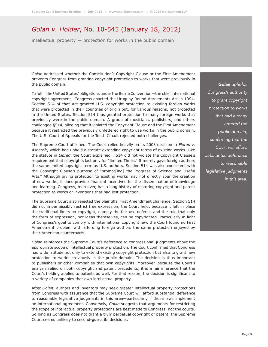#### *Golan v. Holder*, No. 10-545 (January 18, 2012)

intellectual property — protection for works in the public domain

*Golan* addressed whether the Constitution's Copyright Clause or the First Amendment prevents Congress from granting copyright protection to works that were previously in the public domain.

To fulfill the United States' obligations under the Berne Convention—the chief international copyright agreement—Congress enacted the Uruguay Round Agreements Act in 1994. Section 514 of that Act granted U.S. copyright protection to existing foreign works that were protected in their countries of origin but, for various reasons, not protected in the United States. Section 514 thus granted protection to many foreign works that previously were in the public domain. A group of musicians, publishers, and others challenged §514, alleging that it violated the Copyright Clause and the First Amendment because it restricted the previously unfettered right to use works in the public domain. The U.S. Court of Appeals for the Tenth Circuit rejected both challenges.

The Supreme Court affirmed. The Court relied heavily on its 2003 decision in *Eldred v. Ashcroft*, which had upheld a statute extending copyright terms of existing works. Like the statute in *Eldred*, the Court explained, §514 did not violate the Copyright Clause's requirement that copyrights last only for "limited Times." It merely gave foreign authors the same limited copyright term as U.S. authors. Section 514 was also consistent with the Copyright Clause's purpose of "promot[ing] the Progress of Science and Useful Arts." Although giving protection to existing works may not directly spur the creation of new works, it does provide financial incentives for the dissemination of knowledge and learning. Congress, moreover, has a long history of restoring copyright and patent protection to works or inventions that had lost protection.

The Supreme Court also rejected the plaintiffs' First Amendment challenge. Section 514 did not impermissibly restrict free expression, the Court held, because it left in place the traditional limits on copyright, namely the fair-use defense and the rule that only the form of expression, not ideas themselves, can be copyrighted. Particularly in light of Congress's goal to comply with international copyright law, the Court found no First Amendment problem with affording foreign authors the same protection enjoyed by their American counterparts.

*Golan* reinforces the Supreme Court's deference to congressional judgments about the appropriate scope of intellectual property protection. The Court confirmed that Congress has wide latitude not only to extend existing copyright protection but also to grant new protection to works previously in the public domain. The decision is thus important to publishers or other companies that own copyrights. Moreover, because the Court's analysis relied on both copyright and patent precedents, it is a fair inference that the Court's holding applies to patents as well. For that reason, the decision is significant to a variety of companies that own intellectual property.

After *Golan*, authors and inventors may seek greater intellectual property protections from Congress with assurance that the Supreme Court will afford substantial deference to reasonable legislative judgments in this area—particularly if those laws implement an international agreement. Conversely, *Golan* suggests that arguments for restricting the scope of intellectual property protections are best made to Congress, not the courts. So long as Congress does not grant a truly perpetual copyright or patent, the Supreme Court seems unlikely to second-guess its decisions.

*Golan upholds Congress's authority to grant copyright protection to works that had already entered the public domain, confirming that the Court will afford substantial deference to reasonable legislative judgments in this area.*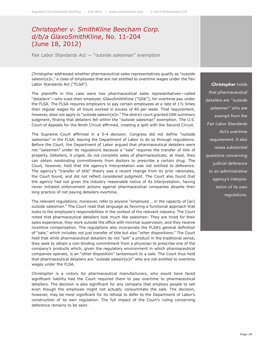### *Christopher v. SmithKline Beecham Corp. d/b/a GlaxoSmithKline*, No. 11-204 (June 18, 2012)

Fair Labor Standards Act — "outside salesman" exemption

*Christopher* addressed whether pharmaceutical sales representatives qualify as "outside salesm[e]n," a class of employees that are not entitled to overtime wages under the Fair Labor Standards Act ("FLSA").

The plaintiffs in this case were two pharmaceutical sales representatives—called "detailers"—who sued their employer, GlaxoSmithKline ("GSK"), for overtime pay under the FLSA. The FLSA requires employers to pay certain employees at a rate of 1½ times their regular wages for all hours worked in excess of 40 per week. That requirement, however, does not apply to "outside salesm[e]n." The district court granted GSK summary judgment, finding that detailers fell within the "outside salesman" exemption. The U.S. Court of Appeals for the Ninth Circuit affirmed, creating a split with the Second Circuit.

The Supreme Court affirmed in a 5-4 decision. Congress did not define "outside salesman" in the FLSA, leaving the Department of Labor to do so through regulations. Before the Court, the Department of Labor argued that pharmaceutical detailers were not "salesmen" under its regulations because a "sale" requires the transfer of title of property. Detailers, it urged, do not complete sales of pharmaceuticals; at most, they can obtain nonbinding commitments from doctors to prescribe a certain drug. The Court, however, held that the agency's interpretation was not entitled to deference. The agency's "transfer of title" theory was a recent change from its prior rationales, the Court found, and did not reflect considered judgment. The Court also found that the agency had not given the industry reasonable notice of its interpretation, having never initiated enforcement actions against pharmaceutical companies despite their long practice of not paying detailers overtime.

The relevant regulations, moreover, refer to anyone "employed … *in the capacity of* [an] outside salesman." The Court read that language as favoring a functional approach that looks to the employee's responsibilities in the context of the relevant industry. The Court noted that pharmaceutical detailers look much like salesmen: They are hired for their sales experience, they work outside the office with minimal supervision, and they receive incentive compensation. The regulations also incorporate the FLSA's general definition of "sale," which includes not just transfer of title but also "other dispositions." The Court held that while pharmaceutical detailers do not "sell" a product in the traditional sense, they seek to obtain a non-binding commitment from a physician to prescribe one of the company's products which, given the regulatory environment in which pharmaceutical companies operate, is an "other disposition" tantamount to a sale. The Court thus held that pharmaceutical detailers are "outside salesm[e]n" who are not entitled to overtime wages under the FLSA.

*Christopher* is a victory for pharmaceutical manufacturers, who would have faced significant liability had the Court required them to pay overtime to pharmaceutical detailers. The decision is also significant for any company that employs people to sell even though the employee might not actually consummate the sale. The decision, however, may be most significant for its refusal to defer to the Department of Labor's construction of its own regulation. The full impact of the Court's ruling concerning deference remains to be seen.

*Christopher holds that pharmaceutical detailers are "outside salesmen" who are exempt from the Fair Labor Standards Act's overtime requirement. It also raises substantial questions concerning judicial deference to an administrative agency's interpretation of its own regulations.*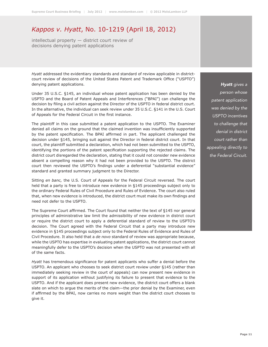#### *Kappos v. Hyatt*, No. 10-1219 (April 18, 2012)

intellectual property — district court review of decisions denying patent applications

*Hyatt* addressed the evidentiary standards and standard of review applicable in districtcourt review of decisions of the United States Patent and Trademark Office ("USPTO") denying patent applications.

Under 35 U.S.C. §145, an individual whose patent application has been denied by the USPTO and the Board of Patent Appeals and Interferences ("BPAI") can challenge the decision by filing a civil action against the Director of the USPTO in federal district court. In the alternative, the individual can seek review under 35 U.S.C. §141 in the U.S. Court of Appeals for the Federal Circuit in the first instance.

The plaintiff in this case submitted a patent application to the USPTO. The Examiner denied all claims on the ground that the claimed invention was insufficiently supported by the patent specification. The BPAI affirmed in part. The applicant challenged the decision under §145, bringing suit against the Director in federal district court. In that court, the plaintiff submitted a declaration, which had not been submitted to the USPTO, identifying the portions of the patent specification supporting the rejected claims. The district court disregarded the declaration, stating that it could not consider new evidence absent a compelling reason why it had not been provided to the USPTO. The district court then reviewed the USPTO's findings under a deferential "substantial evidence" standard and granted summary judgment to the Director.

Sitting *en banc,* the U.S. Court of Appeals for the Federal Circuit reversed. The court held that a party is free to introduce new evidence in §145 proceedings subject only to the ordinary Federal Rules of Civil Procedure and Rules of Evidence. The court also ruled that, when new evidence is introduced, the district court must make its own findings and need not defer to the USPTO.

The Supreme Court affirmed. The Court found that neither the text of §145 nor general principles of administrative law limit the admissibility of new evidence in district court or require the district court to apply a deferential standard of review to the USPTO's decision. The Court agreed with the Federal Circuit that a party may introduce new evidence in §145 proceedings subject only to the Federal Rules of Evidence and Rules of Civil Procedure. It also held that a *de novo* standard of review was appropriate because, while the USPTO has expertise in evaluating patent applications, the district court cannot meaningfully defer to the USPTO's decision when the USPTO was not presented with all of the same facts.

*Hyatt* has tremendous significance for patent applicants who suffer a denial before the USPTO. An applicant who chooses to seek district court review under §145 (rather than immediately seeking review in the court of appeals) can now present new evidence in support of its application without justifying its failure to present that evidence to the USPTO. And if the applicant does present new evidence, the district court offers a blank slate on which to argue the merits of the claim—the prior denial by the Examiner, even if affirmed by the BPAI, now carries no more weight than the district court chooses to give it.

*Hyatt gives a person whose patent application was denied by the USPTO incentives to challenge that denial in district court rather than appealing directly to the Federal Circuit.*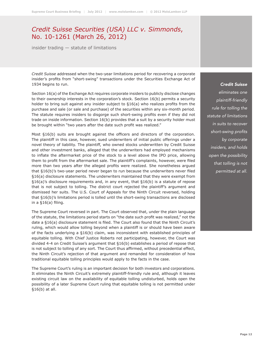#### *Credit Suisse Securities (USA) LLC v. Simmonds*, No. 10-1261 (March 26, 2012)

insider trading — statute of limitations

*Credit Suisse* addressed when the two-year limitations period for recovering a corporate insider's profits from "short-swing" transactions under the Securities Exchange Act of 1934 begins to run.

Section 16(a) of the Exchange Act requires corporate insiders to publicly disclose changes to their ownership interests in the corporation's stock. Section 16(b) permits a security holder to bring suit against any insider subject to §16(a) who realizes profits from the purchase and sale (or sale and purchase) of the securities within any six-month period. The statute requires insiders to disgorge such short-swing profits even if they did not trade on inside information. Section 16(b) provides that a suit by a security holder must be brought within "two years after the date such profit was realized."

Most §16(b) suits are brought against the officers and directors of the corporation. The plaintiff in this case, however, sued underwriters of initial public offerings under a novel theory of liability. The plaintiff, who owned stocks underwritten by Credit Suisse and other investment banks, alleged that the underwriters had employed mechanisms to inflate the aftermarket price of the stock to a level above the IPO price, allowing them to profit from the aftermarket sale. The plaintiff's complaints, however, were filed more than two years after the alleged profits were realized. She nonetheless argued that §16(b)'s two-year period never began to run because the underwriters never filed §16(a) disclosure statements. The underwriters maintained that they were exempt from §16(a)'s disclosure requirements and, in any event, that §16(b) is a statute of repose that is not subject to tolling. The district court rejected the plaintiff's argument and dismissed her suits. The U.S. Court of Appeals for the Ninth Circuit reversed, holding that §16(b)'s limitations period is tolled until the short-swing transactions are disclosed in a §16(a) filing.

The Supreme Court reversed in part. The Court observed that, under the plain language of the statute, the limitations period starts on "the date such profit was realized," not the date a §16(a) disclosure statement is filed. The Court also found that the Ninth Circuit's ruling, which would allow tolling beyond when a plaintiff is or should have been aware of the facts underlying a §16(b) claim, was inconsistent with established principles of equitable tolling. With Chief Justice Roberts not participating, however, the Court was divided 4-4 on Credit Suisse's argument that §16(b) establishes a period of repose that is not subject to tolling of any sort. The Court thus affirmed, without precedential effect, the Ninth Circuit's rejection of that argument and remanded for consideration of how traditional equitable tolling principles would apply to the facts in the case.

The Supreme Court's ruling is an important decision for both investors and corporations. It eliminates the Ninth Circuit's extremely plaintiff-friendly rule and, although it leaves existing circuit law on the availability of equitable tolling undisturbed, holds open the possibility of a later Supreme Court ruling that equitable tolling is not permitted under §16(b) at all.

*Credit Suisse eliminates one plaintiff-friendly rule for tolling the statute of limitations in suits to recover short-swing profits by corporate insiders, and holds open the possibility that tolling is not permitted at all.*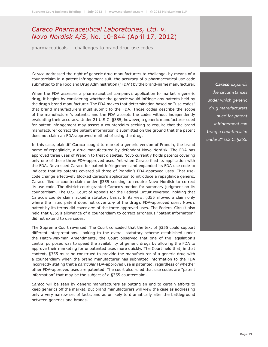#### *Caraco Pharmaceutical Laboratories, Ltd. v. Novo Nordisk A/S*, No. 10-844 (April 17, 2012)

pharmaceuticals — challenges to brand drug use codes

*Caraco* addressed the right of generic drug manufacturers to challenge, by means of a counterclaim in a patent infringement suit, the accuracy of a pharmaceutical use code submitted to the Food and Drug Administration ("FDA") by the brand-name manufacturer.

When the FDA assesses a pharmaceutical company's application to market a generic drug, it begins by considering whether the generic would infringe any patents held by the drug's brand manufacturer. The FDA makes that determination based on "use codes" that brand manufacturers must submit to the FDA. Those codes describe the scope of the manufacturer's patents, and the FDA accepts the codes without independently evaluating their accuracy. Under 21 U.S.C. §355, however, a generic manufacturer sued for patent infringement may assert a counterclaim seeking to require that the brand manufacturer correct the patent information it submitted on the ground that the patent does not claim an FDA-approved method of using the drug.

In this case, plaintiff Caraco sought to market a generic version of Prandin, the brand name of repaglinide, a drug manufactured by defendant Novo Nordisk. The FDA has approved three uses of Prandin to treat diabetes. Novo currently holds patents covering only one of those three FDA-approved uses. Yet when Caraco filed its application with the FDA, Novo sued Caraco for patent infringement and expanded its FDA use code to indicate that its patents covered all three of Prandin's FDA-approved uses. That usecode change effectively blocked Caraco's application to introduce a repaglinide generic. Caraco filed a counterclaim under §355 seeking to require Novo Nordisk to correct its use code. The district court granted Caraco's motion for summary judgment on its counterclaim. The U.S. Court of Appeals for the Federal Circuit reversed, holding that Caraco's counterclaim lacked a statutory basis. In its view, §355 allowed a claim only where the listed patent does not cover *any* of the drug's FDA-approved uses; Novo's patent by its terms did cover *one* of the three approved uses. The Federal Circuit also held that §355's allowance of a counterclaim to correct erroneous "patent information" did not extend to use codes.

The Supreme Court reversed. The Court conceded that the text of §355 could support different interpretations. Looking to the overall statutory scheme established under the Hatch-Waxman Amendments, the Court observed that one of the legislation's central purposes was to speed the availability of generic drugs by allowing the FDA to approve their marketing for unpatented uses more quickly. The Court held that, in that context, §355 must be construed to provide the manufacturer of a generic drug with a counterclaim when the brand manufacturer has submitted information to the FDA incorrectly stating that a *particular* FDA-approved use is patented, regardless of whether other FDA-approved uses are patented. The court also ruled that use codes are "patent information" that may be the subject of a §355 counterclaim.

*Caraco* will be seen by generic manufacturers as putting an end to certain efforts to keep generics off the market. But brand manufacturers will view the case as addressing only a very narrow set of facts, and as unlikely to dramatically alter the battleground between generics and brands.

*Caraco expands the circumstances under which generic drug manufacturers sued for patent infringement can bring a counterclaim under 21 U.S.C. §355.*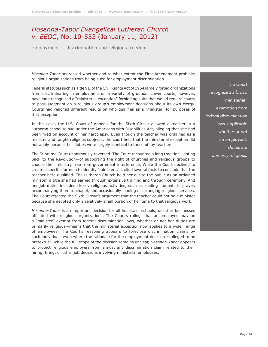#### *Hosanna-Tabor Evangelical Lutheran Church v. EEOC*, No. 10-553 (January 11, 2012)

employment — discrimination and religious freedom

*Hosanna-Tabor* addressed whether and to what extent the First Amendment prohibits religious organizations from being sued for employment discrimination.

Federal statutes such as Title VII of the Civil Rights Act of 1964 largely forbid organizations from discriminating in employment on a variety of grounds. Lower courts, however, have long recognized a "ministerial exception" forbidding suits that would require courts to pass judgment on a religious group's employment decisions about its own clergy. Courts had reached different results on who qualifies as a "minister" for purposes of that exception.

In this case, the U.S. Court of Appeals for the Sixth Circuit allowed a teacher in a Lutheran school to sue under the Americans with Disabilities Act, alleging that she had been fired on account of her narcolepsy. Even though the teacher was ordained as a minister and taught religious subjects, the court held that the ministerial exception did not apply because her duties were largely identical to those of lay teachers.

The Supreme Court unanimously reversed. The Court recounted a long tradition—dating back to the Revolution—of supporting the right of churches and religious groups to choose their ministry free from government interference. While the Court declined to create a specific formula to identify "ministers," it cited several facts to conclude that the teacher here qualified. The Lutheran Church held her out to the public as an ordained minister, a title she had earned through extensive training and through ceremony. And her job duties included clearly religious activities, such as leading students in prayer, accompanying them to chapel, and occasionally leading or arranging religious services. The Court rejected the Sixth Circuit's argument that the teacher could not be a minister because she devoted only a relatively small portion of her time to that religious work.

*Hosanna-Tabor* is an important decision for all hospitals, schools, or other businesses affiliated with religious organizations. The Court's ruling—that an employee may be a "minister" exempt from federal discrimination laws, whether or not her duties are primarily religious—means that the ministerial exception now applies to a wider range of employees. The Court's reasoning appears to foreclose discrimination claims by such individuals even where the rationale for the employment decision is alleged to be pretextual. While the full scope of the decision remains unclear, *Hosanna-Tabor* appears to protect religious employers from almost any discrimination claim related to their hiring, firing, or other job decisions involving ministerial employees.

*The Court recognized a broad "ministerial" exemption from federal discrimination laws, applicable whether or not an employee's duties are primarily religious.*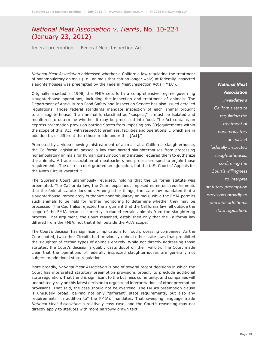#### *National Meat Association v. Harris*, No. 10-224 (January 23, 2012)

federal preemption — Federal Meat Inspection Act

*National Meat Association* addressed whether a California law regulating the treatment of nonambulatory animals (i.e., animals that can no longer walk) at federally inspected slaughterhouses was preempted by the Federal Meat Inspection Act ("FMIA").

Originally enacted in 1908, the FMIA sets forth a comprehensive regime governing slaughterhouse operations, including the inspection and treatment of animals. The Department of Agriculture's Food Safety and Inspection Service has also issued detailed regulations. Those federal standards mandate inspection of each animal brought to a slaughterhouse. If an animal is classified as "suspect," it must be isolated and monitored to determine whether it may be processed into food. The Act contains an express preemption provision barring States from imposing any "[r]equirements within the scope of this [Act] with respect to premises, facilities and operations ... which are in addition to, or different than those made under this [Act]."

Prompted by a video showing mistreatment of animals at a California slaughterhouse, the California legislature passed a law that barred slaughterhouses from processing nonambulatory animals for human consumption and instead required them to euthanize the animals. A trade association of meatpackers and processers sued to enjoin those requirements. The district court granted an injunction, but the U.S. Court of Appeals for the Ninth Circuit vacated it.

The Supreme Court unanimously reversed, holding that the California statute was preempted. The California law, the Court explained, imposed numerous requirements that the federal statute does not. Among other things, the state law mandated that a slaughterhouse immediately euthanize nonambulatory animals, while the FMIA permits such animals to be held for further monitoring to determine whether they may be processed. The Court also rejected the argument that the California law fell outside the scope of the FMIA because it merely excluded certain animals from the slaughtering process. That argument, the Court reasoned, established only that the California law differed from the FMIA, not that it fell outside the Act's scope.

The Court's decision has significant implications for food processing companies. As the Court noted, two other Circuits had previously upheld other state laws that prohibited the slaughter of certain types of animals entirely. While not directly addressing those statutes, the Court's decision arguably casts doubt on their validity. The Court made clear that the operations of federally inspected slaughterhouses are generally not subject to additional state regulation.

More broadly, *National Meat Association* is one of several recent decisions in which the Court has interpreted statutory preemption provisions broadly to preclude additional state regulation. That trend is significant to the business community, and companies will undoubtedly rely on this latest decision to urge broad interpretations of other preemption provisions. That said, the case should not be overread. The FMIA's preemption clause is unusually broad, barring not only "different" state requirements, but also any requirements "in addition to" the FMIA's mandates. That sweeping language made *National Meat Association* a relatively easy case, and the Court's reasoning may not directly apply to statutes with more narrowly drawn text.

*National Meat Association invalidates a California statute regulating the treatment of nonambulatory animals at federally inspected slaughterhouses, confirming the Court's willingness to interpret statutory preemption provisions broadly to preclude additional state regulation.*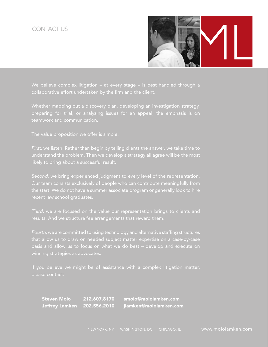## CONTACT US



We believe complex litigation - at every stage - is best handled through a collaborative effort undertaken by the firm and the client.

Whether mapping out a discovery plan, developing an investigation strategy, preparing for trial, or analyzing issues for an appeal, the emphasis is on

The value proposition we offer is simple:

*First,* we listen. Rather than begin by telling clients the answer, we take time to understand the problem. Then we develop a strategy all agree will be the most likely to bring about a successful result.

*Second,* we bring experienced judgment to every level of the representation. Our team consists exclusively of people who can contribute meaningfully from recent law school graduates.

*Third,* we are focused on the value our representation brings to clients and results. And we structure fee arrangements that reward them.

*Fourth,* we are committed to using technology and alternative staffing structures that allow us to draw on needed subject matter expertise on a case-by-case winning strategies as advocates.

If you believe we might be of assistance with a complex litigation matter,

Steven Molo 212.607.8170 smolo@mololamken.com Jeffrey Lamken 202.556.2010 jlamken@mololamken.com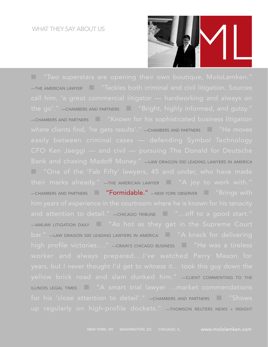#### WHAT THEY SAY ABOUT US



 $\overline{r}$   $\overline{r}$   $\overline{r}$  and  $\overline{r}$  and  $\overline{r}$  is a  $\overline{r}$  and  $\overline{r}$  and civil litigation. Sources the go'." —CHAMBERS AND PARTNERS **notaty** "Bright, highly informed, and gutsy." -CHAMBERS AND PARTNERS **Nown** for his sophisticated business litigation where clients find, 'he gets results'."  $\equiv$  CHAMBERS AND PARTNERS  $\equiv$  "He moves Bank and chasing Madoff Money." —LAW DRAGON 500 LEADING LAWYERS IN AMERICA their marks already."  $\overline{a}$  = The AMERICAN LAWYER  $\overline{a}$  "A joy to work with." —CHAMBERS AND PARTNERS **Notably "Formidable."** —NEW YORK OBSERVER **notably** "Brings with and attention to detail."  $\equiv$  CHICAGO TRIBUNE  $\equiv$  "... off to a good start."  $-$ AMLAW LITIGATION DAILY  $\Box$  "As hot as they get in the Supreme Court bar." —LAW DRAGON 500 LEADING LAWYERS IN AMERICA **Notify "A knack for delivering** high profile victories...." - CRAIN'S CHICAGO BUSINESS **Noting that in the was a tireless** yellow brick road and slam dunked him." —CLIENT COMMENTING TO THE ILLINOIS LEGAL TIMES | "A smart trial lawyer ... market commendations for his 'close attention to detail'." -CHAMBERS AND PARTNERS **n** "Shows up regularly on high-profile dockets." —THOMSON REUTERS NEWS + INSIGHT